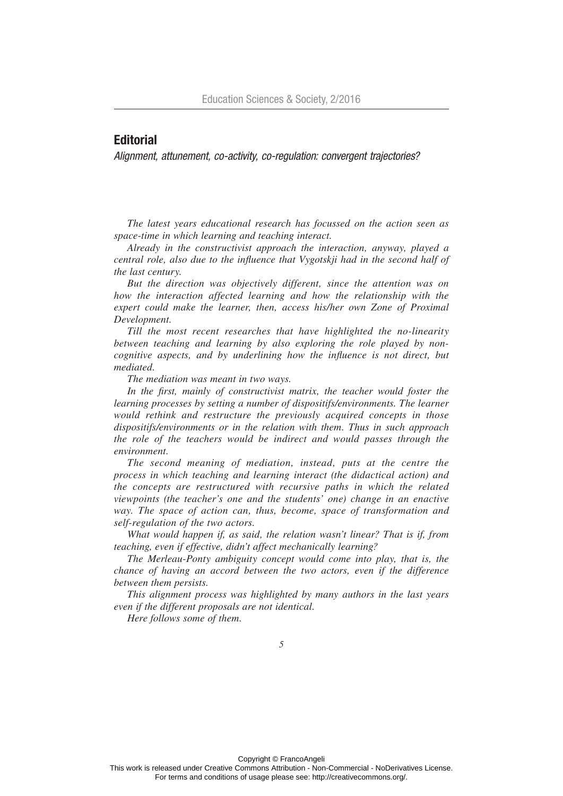## **Editorial**

*Alignment, attunement, co-activity, co-regulation: convergent trajectories?*

*The latest years educational research has focussed on the action seen as space-time in which learning and teaching interact.*

*Already in the constructivist approach the interaction, anyway, played a central role, also due to the influence that Vygotskji had in the second half of the last century.* 

*But the direction was objectively different, since the attention was on how the interaction affected learning and how the relationship with the* expert could make the learner, then, access his/her own Zone of Proximal *Development.* 

*Till the most recent researches that have highlighted the no-linearity between teaching and learning by also exploring the role played by noncognitive aspects, and by underlining how the influence is not direct, but mediated.*

*The mediation was meant in two ways.* 

In the first, mainly of constructivist matrix, the teacher would foster the *learning processes by setting a number of dispositifs/environments. The learner would rethink and restructure the previously acquired concepts in those dispositifs/environments or in the relation with them. Thus in such approach the role of the teachers would be indirect and would passes through the environment.* 

*The second meaning of mediation, instead, puts at the centre the process in which teaching and learning interact (the didactical action) and the concepts are restructured with recursive paths in which the related viewpoints (the teacher's one and the students' one) change in an enactive way. The space of action can, thus, become, space of transformation and self-regulation of the two actors.* 

*What would happen if, as said, the relation wasn't linear? That is if, from teaching, even if effective, didn't affect mechanically learning?* 

*The Merleau-Ponty ambiguity concept would come into play, that is, the chance of having an accord between the two actors, even if the difference between them persists.* 

*This alignment process was highlighted by many authors in the last years even if the different proposals are not identical.* 

*Here follows some of them.*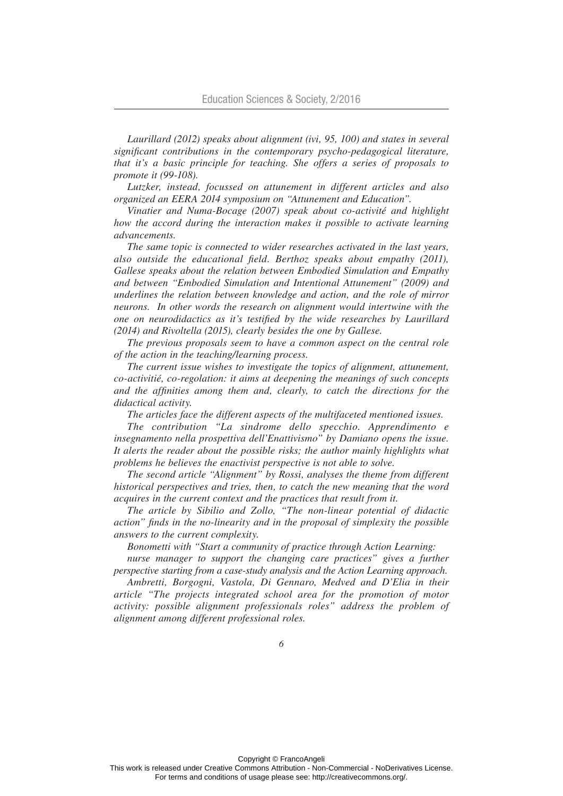*Laurillard (2012) speaks about alignment (ivi, 95, 100) and states in several significant contributions in the contemporary psycho-pedagogical literature, that it's a basic principle for teaching. She offers a series of proposals to promote it (99-108).* 

*Lutzker, instead, focussed on attunement in different articles and also organized an EERA 2014 symposium on "Attunement and Education".* 

*Vinatier and Numa-Bocage (2007) speak about co-activité and highlight how the accord during the interaction makes it possible to activate learning advancements.* 

*The same topic is connected to wider researches activated in the last years, also outside the educational field. Berthoz speaks about empathy (2011), Gallese speaks about the relation between Embodied Simulation and Empathy and between "Embodied Simulation and Intentional Attunement" (2009) and underlines the relation between knowledge and action, and the role of mirror neurons. In other words the research on alignment would intertwine with the one on neurodidactics as it's testified by the wide researches by Laurillard (2014) and Rivoltella (2015), clearly besides the one by Gallese.* 

*The previous proposals seem to have a common aspect on the central role of the action in the teaching/learning process.* 

*The current issue wishes to investigate the topics of alignment, attunement, co-activitié, co-regolation: it aims at deepening the meanings of such concepts and the affinities among them and, clearly, to catch the directions for the didactical activity.* 

*The articles face the different aspects of the multifaceted mentioned issues.*

*The contribution "La sindrome dello specchio. Apprendimento e insegnamento nella prospettiva dell'Enattivismo" by Damiano opens the issue. It alerts the reader about the possible risks; the author mainly highlights what problems he believes the enactivist perspective is not able to solve.*

*The second article "Alignment" by Rossi, analyses the theme from different historical perspectives and tries, then, to catch the new meaning that the word acquires in the current context and the practices that result from it.*

*The article by Sibilio and Zollo, "The non-linear potential of didactic action" finds in the no-linearity and in the proposal of simplexity the possible answers to the current complexity.*

*Bonometti with "Start a community of practice through Action Learning:* 

*nurse manager to support the changing care practices*" gives a further *perspective starting from a case-study analysis and the Action Learning approach.*

*Ambretti, Borgogni, Vastola, Di Gennaro, Medved and D'Elia in their article "The projects integrated school area for the promotion of motor activity: possible alignment professionals roles" address the problem of alignment among different professional roles.*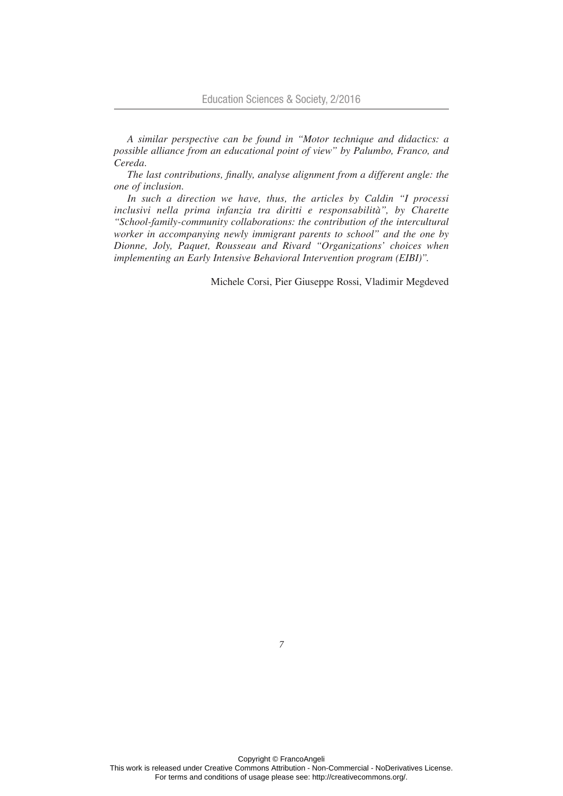*A similar perspective can be found in "Motor technique and didactics: a possible alliance from an educational point of view" by Palumbo, Franco, and Cereda.*

*The last contributions, finally, analyse alignment from a different angle: the one of inclusion.*

*In such a direction we have, thus, the articles by Caldin "I processi inclusivi nella prima infanzia tra diritti e responsabilità", by Charette "School-family-community collaborations: the contribution of the intercultural worker in accompanying newly immigrant parents to school" and the one by Dionne, Joly, Paquet, Rousseau and Rivard "Organizations' choices when implementing an Early Intensive Behavioral Intervention program (EIBI)".*

Michele Corsi, Pier Giuseppe Rossi, Vladimir Megdeved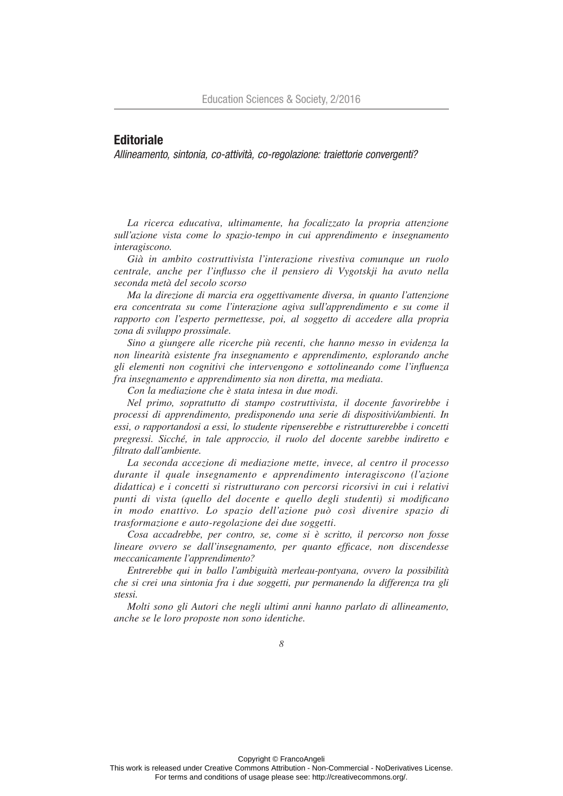## **Editoriale**

*Allineamento, sintonia, co-attività, co-regolazione: traiettorie convergenti?*

*La ricerca educativa, ultimamente, ha focalizzato la propria attenzione sull'azione vista come lo spazio-tempo in cui apprendimento e insegnamento interagiscono.*

*Già in ambito costruttivista l'interazione rivestiva comunque un ruolo centrale, anche per l'influsso che il pensiero di Vygotskji ha avuto nella seconda metà del secolo scorso*

*Ma la direzione di marcia era oggettivamente diversa, in quanto l'attenzione era concentrata su come l'interazione agiva sull'apprendimento e su come il rapporto con l'esperto permettesse, poi, al soggetto di accedere alla propria zona di sviluppo prossimale.*

*Sino a giungere alle ricerche più recenti, che hanno messo in evidenza la non linearità esistente fra insegnamento e apprendimento, esplorando anche gli elementi non cognitivi che intervengono e sottolineando come l'influenza fra insegnamento e apprendimento sia non diretta, ma mediata.*

*Con la mediazione che è stata intesa in due modi.* 

*Nel primo, soprattutto di stampo costruttivista, il docente favorirebbe i processi di apprendimento, predisponendo una serie di dispositivi/ambienti. In essi, o rapportandosi a essi, lo studente ripenserebbe e ristrutturerebbe i concetti pregressi. Sicché, in tale approccio, il ruolo del docente sarebbe indiretto e filtrato dall'ambiente.*

*La seconda accezione di mediazione mette, invece, al centro il processo durante il quale insegnamento e apprendimento interagiscono (l'azione didattica) e i concetti si ristrutturano con percorsi ricorsivi in cui i relativi punti di vista (quello del docente e quello degli studenti) si modificano in modo enattivo. Lo spazio dell'azione può così divenire spazio di trasformazione e auto-regolazione dei due soggetti.*

*Cosa accadrebbe, per contro, se, come si è scritto, il percorso non fosse lineare ovvero se dall'insegnamento, per quanto efficace, non discendesse meccanicamente l'apprendimento?*

*Entrerebbe qui in ballo l'ambiguità merleau-pontyana, ovvero la possibilità che si crei una sintonia fra i due soggetti, pur permanendo la differenza tra gli stessi.*

*Molti sono gli Autori che negli ultimi anni hanno parlato di allineamento, anche se le loro proposte non sono identiche.*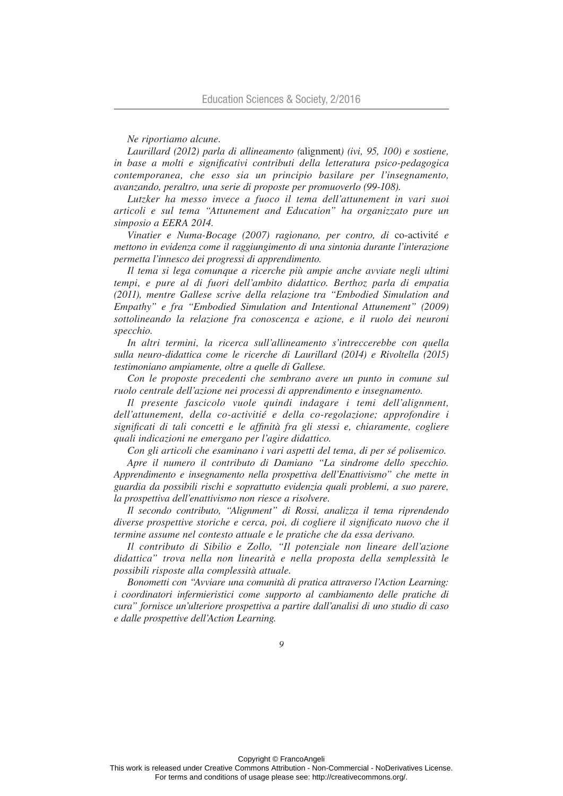## *Ne riportiamo alcune.*

*Laurillard (2012) parla di allineamento (*alignment*) (ivi, 95, 100) e sostiene, in base a molti e significativi contributi della letteratura psico-pedagogica contemporanea, che esso sia un principio basilare per l'insegnamento, avanzando, peraltro, una serie di proposte per promuoverlo (99-108).* 

*Lutzker ha messo invece a fuoco il tema dell'attunement in vari suoi articoli e sul tema "Attunement and Education" ha organizzato pure un simposio a EERA 2014.*

*Vinatier e Numa-Bocage (2007) ragionano, per contro, di* co-activité *e mettono in evidenza come il raggiungimento di una sintonia durante l'interazione permetta l'innesco dei progressi di apprendimento.*

*Il tema si lega comunque a ricerche più ampie anche avviate negli ultimi tempi, e pure al di fuori dell'ambito didattico. Berthoz parla di empatia (2011), mentre Gallese scrive della relazione tra "Embodied Simulation and Empathy" e fra "Embodied Simulation and Intentional Attunement" (2009) sottolineando la relazione fra conoscenza e azione, e il ruolo dei neuroni specchio.* 

*In altri termini, la ricerca sull'allineamento s'intreccerebbe con quella sulla neuro-didattica come le ricerche di Laurillard (2014) e Rivoltella (2015) testimoniano ampiamente, oltre a quelle di Gallese.*

*Con le proposte precedenti che sembrano avere un punto in comune sul ruolo centrale dell'azione nei processi di apprendimento e insegnamento.*

*Il presente fascicolo vuole quindi indagare i temi dell'alignment, dell'attunement, della co-activitié e della co-regolazione; approfondire i significati di tali concetti e le affinità fra gli stessi e, chiaramente, cogliere quali indicazioni ne emergano per l'agire didattico.*

*Con gli articoli che esaminano i vari aspetti del tema, di per sé polisemico.*

*Apre il numero il contributo di Damiano "La sindrome dello specchio. Apprendimento e insegnamento nella prospettiva dell'Enattivismo" che mette in guardia da possibili rischi e soprattutto evidenzia quali problemi, a suo parere, la prospettiva dell'enattivismo non riesce a risolvere.*

*Il secondo contributo, "Alignment" di Rossi, analizza il tema riprendendo diverse prospettive storiche e cerca, poi, di cogliere il significato nuovo che il termine assume nel contesto attuale e le pratiche che da essa derivano.*

*Il contributo di Sibilio e Zollo, "Il potenziale non lineare dell'azione didattica" trova nella non linearità e nella proposta della semplessità le possibili risposte alla complessità attuale.*

*Bonometti con "Avviare una comunità di pratica attraverso l'Action Learning: i coordinatori infermieristici come supporto al cambiamento delle pratiche di cura" fornisce un'ulteriore prospettiva a partire dall'analisi di uno studio di caso e dalle prospettive dell'Action Learning.*